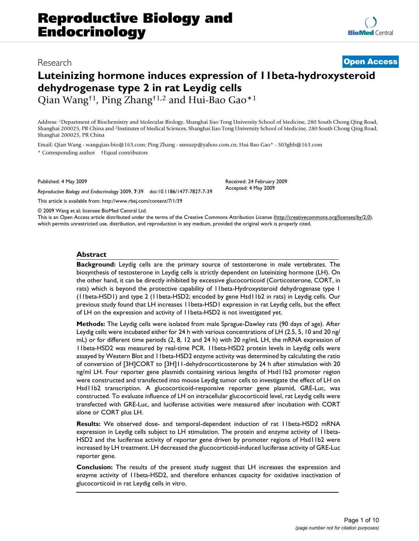## Research **[Open Access](http://www.biomedcentral.com/info/about/charter/)**

# **Luteinizing hormone induces expression of 11beta-hydroxysteroid dehydrogenase type 2 in rat Leydig cells**

Qian Wang†1, Ping Zhang†1,2 and Hui-Bao Gao\*1

Address: 1Department of Biochemistry and Molecular Biology, Shanghai Jiao Tong University School of Medicine, 280 South Chong Qing Road, Shanghai 200025, PR China and 2Institutes of Medical Sciences, Shanghai Jiao Tong University School of Medicine, 280 South Chong Qing Road, Shanghai 200025, PR China

Email: Qian Wang - wangqian-bio@163.com; Ping Zhang - ssmuzp@yahoo.com.cn; Hui-Bao Gao\* - 503ghb@163.com \* Corresponding author †Equal contributors

Published: 4 May 2009

*Reproductive Biology and Endocrinology* 2009, **7**:39 doi:10.1186/1477-7827-7-39

[This article is available from: http://www.rbej.com/content/7/1/39](http://www.rbej.com/content/7/1/39)

© 2009 Wang et al; licensee BioMed Central Ltd.

This is an Open Access article distributed under the terms of the Creative Commons Attribution License [\(http://creativecommons.org/licenses/by/2.0\)](http://creativecommons.org/licenses/by/2.0), which permits unrestricted use, distribution, and reproduction in any medium, provided the original work is properly cited.

Received: 24 February 2009 Accepted: 4 May 2009

#### **Abstract**

**Background:** Leydig cells are the primary source of testosterone in male vertebrates. The biosynthesis of testosterone in Leydig cells is strictly dependent on luteinizing hormone (LH). On the other hand, it can be directly inhibited by excessive glucocorticoid (Corticosterone, CORT, in rats) which is beyond the protective capability of 11beta-Hydroxysteroid dehydrogenase type 1 (11beta-HSD1) and type 2 (11beta-HSD2; encoded by gene Hsd11b2 in rats) in Leydig cells. Our previous study found that LH increases 11beta-HSD1 expression in rat Leydig cells, but the effect of LH on the expression and activity of 11beta-HSD2 is not investigated yet.

**Methods:** The Leydig cells were isolated from male Sprague-Dawley rats (90 days of age). After Leydig cells were incubated either for 24 h with various concentrations of LH (2.5, 5, 10 and 20 ng/ mL) or for different time periods (2, 8, 12 and 24 h) with 20 ng/mL LH, the mRNA expression of 11beta-HSD2 was measured by real-time PCR. 11beta-HSD2 protein levels in Leydig cells were assayed by Western Blot and 11beta-HSD2 enzyme activity was determined by calculating the ratio of conversion of [3H]CORT to [3H]11-dehydrocorticosterone by 24 h after stimulation with 20 ng/ml LH. Four reporter gene plasmids containing various lengths of Hsd11b2 promoter region were constructed and transfected into mouse Leydig tumor cells to investigate the effect of LH on Hsd11b2 transcription. A glucocorticoid-responsive reporter gene plasmid, GRE-Luc, was constructed. To evaluate influence of LH on intracellular glucocorticoid level, rat Leydig cells were transfected with GRE-Luc, and luciferase activities were measured after incubation with CORT alone or CORT plus LH.

**Results:** We observed dose- and temporal-dependent induction of rat 11beta-HSD2 mRNA expression in Leydig cells subject to LH stimulation. The protein and enzyme activity of 11beta-HSD2 and the luciferase activity of reporter gene driven by promoter regions of Hsd11b2 were increased by LH treatment. LH decreased the glucocorticoid-induced luciferase activity of GRE-Luc reporter gene.

**Conclusion:** The results of the present study suggest that LH increases the expression and enzyme activity of 11beta-HSD2, and therefore enhances capacity for oxidative inactivation of glucocorticoid in rat Leydig cells in vitro.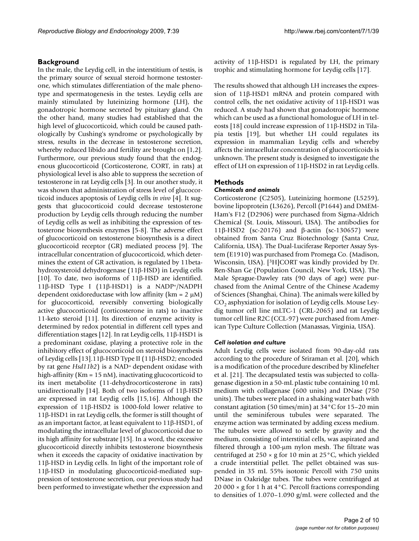In the male, the Leydig cell, in the interstitium of testis, is the primary source of sexual steroid hormone testosterone, which stimulates differentiation of the male phenotype and spermatogenesis in the testes. Leydig cells are mainly stimulated by luteinizing hormone (LH), the gonadotropic hormone secreted by pituitary gland. On the other hand, many studies had established that the high level of glucocorticoid, which could be caused pathologically by Cushing's syndrome or psychologically by stress, results in the decrease in testosterone secretion, whereby reduced libido and fertility are brought on [1,2]. Furthermore, our previous study found that the endogenous glucocorticoid (Corticosterone, CORT, in rats) at physiological level is also able to suppress the secretion of testosterone in rat Leydig cells [3]. In our another study, it was shown that administration of stress level of glucocorticoid induces apoptosis of Leydig cells *in vivo* [4]. It suggests that glucocorticoid could decrease testosterone production by Leydig cells through reducing the number of Leydig cells as well as inhibiting the expression of testosterone biosynthesis enzymes [5-8]. The adverse effect of glucocorticoid on testosterone biosynthesis is a direct glucocorticoid receptor (GR) mediated process [9]. The intracellular concentration of glucocorticoid, which determines the extent of GR activation, is regulated by 11betahydroxysteroid dehydrogenase (11β-HSD) in Leydig cells [10]. To date, two isoforms of 11β-HSD are identified. 11β-HSD Type I (11β-HSD1) is a NADP+/NADPH dependent oxidoreductase with low affinity ( $km = 2 \mu M$ ) for glucocorticoid, reversibly converting biologically active glucocorticoid (corticosterone in rats) to inactive 11-keto steroid [11]. Its direction of enzyme activity is determined by redox potential in different cell types and differentiation stages [12]. In rat Leydig cells, 11β-HSD1 is a predominant oxidase, playing a protective role in the inhibitory effect of glucocorticoid on steroid biosynthesis of Leydig cells [13].11β-HSD Type II (11β-HSD2; encoded by rat gene *Hsd11b2*) is a NAD+ dependent oxidase with high-affinity (Km = 15 nM), inactivating glucocorticoid to its inert metabolite (11-dehydrocorticosterone in rats) unidirectionally [14]. Both of two isoforms of 11β-HSD are expressed in rat Leydig cells [15,16]. Although the expression of 11β-HSD2 is 1000-fold lower relative to 11β-HSD1 in rat Leydig cells, the former is still thought of as an important factor, at least equivalent to 11β-HSD1, of modulating the intracellular level of glucocorticoid due to its high affinity for substrate [15]. In a word, the excessive glucocorticoid directly inhibits testosterone biosynthesis when it exceeds the capacity of oxidative inactivation by 11β-HSD in Leydig cells. In light of the important role of 11β-HSD in modulating glucocorticoid-mediated suppression of testosterone secretion, our previous study had been performed to investigate whether the expression and

activity of 11β-HSD1 is regulated by LH, the primary trophic and stimulating hormone for Leydig cells [17].

The results showed that although LH increases the expression of 11β-HSD1 mRNA and protein compared with control cells, the net oxidative activity of 11β-HSD1 was reduced. A study had shown that gonadotropic hormone which can be used as a functional homologue of LH in teleosts [18] could increase expression of 11β-HSD2 in Tilapia testis [19], but whether LH could regulates its expression in mammalian Leydig cells and whereby affects the intracellular concentration of glucocorticoids is unknown. The present study is designed to investigate the effect of LH on expression of 11β-HSD2 in rat Leydig cells.

#### **Methods**

#### *Chemicals and animals*

Corticosterone (C2505), Luteinizing hormone (L5259), bovine lipoprotein (L3626), Percoll (P1644) and DMEM-Ham's F12 (D2906) were purchased from Sigma-Aldrich Chemical (St. Louis, Missouri, USA). The antibodies for 11β-HSD2 (sc-20176) and β-actin (sc-130657) were obtained from Santa Cruz Biotechnology (Santa Cruz, California, USA). The Dual-Luciferase Reporter Assay System (E1910) was purchased from Promega Co. (Madison, Wisconsin, USA). [3H]CORT was kindly provided by Dr. Ren-Shan Ge (Population Council, New York, USA). The Male Sprague-Dawley rats (90 days of age) were purchased from the Animal Centre of the Chinese Academy of Sciences (Shanghai, China). The animals were killed by  $CO<sub>2</sub>$  asphyxiation for isolation of Leydig cells. Mouse Leydig tumor cell line mLTC-1 (CRL-2065) and rat Leydig tumor cell line R2C (CCL-97) were purchased from American Type Culture Collection (Manassas, Virginia, USA).

#### *Cell isolation and culture*

Adult Leydig cells were isolated from 90-day-old rats according to the procedure of Sriraman et al. [20], which is a modification of the procedure described by Klinefelter et al. [21]. The decapsulated testis was subjected to collagenase digestion in a 50-mL plastic tube containing 10 mL medium with collagenase (600 units) and DNase (750 units). The tubes were placed in a shaking water bath with constant agitation (50 times/min) at 34°C for 15–20 min until the seminiferous tubules were separated. The enzyme action was terminated by adding excess medium. The tubules were allowed to settle by gravity and the medium, consisting of interstitial cells, was aspirated and filtered through a 100-μm nylon mesh. The filtrate was centrifuged at  $250 \times g$  for 10 min at  $25^{\circ}$ C, which yielded a crude interstitial pellet. The pellet obtained was suspended in 35 mL 55% isotonic Percoll with 750 units DNase in Oakridge tubes. The tubes were centrifuged at 20 000  $\times$  g for 1 h at 4 °C. Percoll fractions corresponding to densities of 1.070–1.090 g/mL were collected and the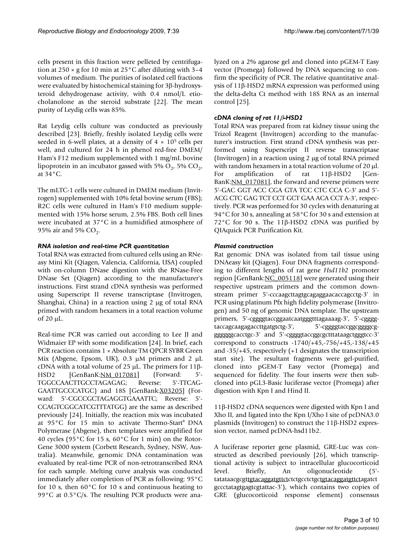cells present in this fraction were pelleted by centrifugation at  $250 \times g$  for 10 min at  $25^{\circ}$ C after diluting with 3–4 volumes of medium. The purities of isolated cell fractions were evaluated by histochemical staining for 3β-hydroxysteroid dehydrogenase activity, with 0.4 nmol/L etiocholanolone as the steroid substrate [22]. The mean purity of Leydig cells was 85%.

Rat Leydig cells culture was conducted as previously described [23]. Briefly, freshly isolated Leydig cells were seeded in 6-well plates, at a density of  $4 \times 10^5$  cells per well, and cultured for 24 h in phenol red-free DMEM/ Ham's F12 medium supplemented with 1 mg/mL bovine lipoprotein in an incubator gassed with 5%  $O_2$ , 5%  $CO_2$ , at 34°C.

The mLTC-1 cells were cultured in DMEM medium (Invitrogen) supplemented with 10% fetal bovine serum (FBS); R2C cells were cultured in Ham's F10 medium supplemented with 15% horse serum, 2.5% FBS. Both cell lines were incubated at 37°C in a humidified atmosphere of 95% air and 5%  $CO<sub>2</sub>$ .

## *RNA isolation and real-time PCR quantitation*

Total RNA was extracted from cultured cells using an RNeasy Mini Kit (Qiagen, Valencia, California, USA) coupled with on-column DNase digestion with the RNase-Free DNase Set (Qiagen) according to the manufacturer's instructions. First strand cDNA synthesis was performed using Superscript II reverse transcriptase (Invitrogen, Shanghai, China) in a reaction using 2 μg of total RNA primed with random hexamers in a total reaction volume of 20 μL.

Real-time PCR was carried out according to Lee JJ and Widmaier EP with some modification [24]. In brief, each PCR reaction contains 1 × Absolute TM QPCR SYBR Green Mix (Abgene, Epsom, UK), 0.3 μM primers and 2 μL cDNA with a total volume of 25 μL. The primers for 11β-HSD2 [GenBanK:[NM\\_017081](http://www.ncbi.nih.gov/entrez/query.fcgi?db=Nucleotide&cmd=search&term=NM_017081)] (Forward: 5'-TGGCCAACTTGCCTAGAGAG; Reverse: 5'-TTCAG-GAATTGCCCATGC) and 18S [GenBank:[X03205\]](http://www.ncbi.nih.gov/entrez/query.fcgi?db=Nucleotide&cmd=search&term=X03205) (Forward: 5'-CGCCGCTAGAGGTGAAATTC; Reverse: 5'- CCAGTCGGCATCGTTTATGG) are the same as described previously [24]. Initially, the reaction mix was incubated at 95°C for 15 min to activate Thermo-Start® DNA Polymerase (Abgene), then templates were amplified for 40 cycles (95 $\degree$ C for 15 s, 60 $\degree$ C for 1 min) on the Rotor-Gene 3000 system (Corbett Research, Sydney, NSW, Australia). Meanwhile, genomic DNA contamination was evaluated by real-time PCR of non-retrotranscribed RNA for each sample. Melting curve analysis was conducted immediately after completion of PCR as following: 95°C for 10 s, then 60°C for 10 s and continuous heating to 99°C at 0.5°C/s. The resulting PCR products were analyzed on a 2% agarose gel and cloned into pGEM-T Easy vector (Promega) followed by DNA sequencing to confirm the specificity of PCR. The relative quantitative analysis of 11β-HSD2 mRNA expression was performed using the delta-delta Ct method with 18S RNA as an internal control [25].

## *cDNA cloning of rat 11*β*-HSD2*

Total RNA was prepared from rat kidney tissue using the Trizol Reagent (Invitrogen) according to the manufacturer's instruction. First strand cDNA synthesis was performed using Superscript II reverse transcriptase (Invitrogen) in a reaction using 2 μg of total RNA primed with random hexamers in a total reaction volume of 20 μl. For amplification of rat 11β-HSD2 [Gen-BanK:[NM\\_017081\]](http://www.ncbi.nih.gov/entrez/query.fcgi?db=Nucleotide&cmd=search&term=NM_017081), the forward and reverse primers were 5'-GAC GGT ACC CGA GTA TCC CTC CCA C-3' and 5'- ACG CTC GAG TCT CCT GCT GAA ACA CCT A-3', respectively. PCR was performed for 30 cycles with denaturing at 94°C for 30 s, annealing at 58°C for 30 s and extension at 72°C for 90 s. The 11β-HSD2 cDNA was purified by QIAquick PCR Purification Kit.

## *Plasmid construction*

Rat genomic DNA was isolated from tail tissue using DNAeasy kit (Qiagen). Four DNA fragments corresponding to different lengths of rat gene *Hsd11b2* promoter region [GenBank: [NC\\_005118\]](http://www.ncbi.nih.gov/entrez/query.fcgi?db=Nucleotide&cmd=search&term=NC_005118) were generated using their respective upstream primers and the common downstream primer 5'-cccaagcttagtgcagaggaacaccagcctg-3' in PCR using platinum Pfx high fidelity polymerase (Invitrogen) and 50 ng of genomic DNA template. The upstream primers, 5'-cggggtaccggaatcaatgggtttagaaaag-3', 5'-cggggtaccagcaagagaccttgatgtctg-3', 5'-cggggtaccggcggggcgggggggcacctgc-3' and 5'-cggggtaccggcgctttataagctgggtcc-3' correspond to constructs -1740/+45,-756/+45,-138/+45 and -35/+45, respectively (+1 designates the transcription start site). The resultant fragments were gel-purified, cloned into pGEM-T Easy vector (Promega) and sequenced for fidelity. The four inserts were then subcloned into pGL3-Basic luciferase vector (Promega) after digestion with Kpn I and Hind II.

11β-HSD2 cDNA sequences were digested with Kpn I and Xho II, and ligated into the Kpn I/Xho I site of pcDNA3.0 plasmids (Invitrogen) to construct the 11β-HSD2 expression vector, named pcDNA-hsd11b2.

A luciferase reporter gene plasmid, GRE-Luc was constructed as described previously [26], which transcriptional activity is subject to intracellular glucocorticoid level. Briefly, An oligonucleotide (5' tatataacgcgttgtacaggatgttctctctgcctctgctgtacaggatgttctagatct gccctatagtgagtcgtattac-3'), which contains two copies of GRE (glucocorticoid response element) consensus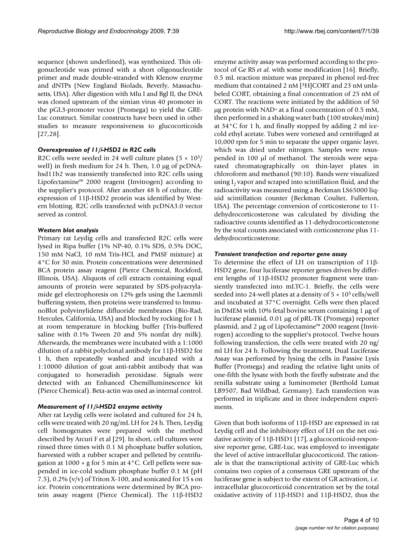sequence (shown underlined), was synthesized. This oligonucleotide was primed with a short oligonucleotide primer and made double-stranded with Klenow enzyme and dNTPs (New England Biolads, Beverly, Massachusetts, USA). After digestion with Mlu I and Bgl II, the DNA was cloned upstream of the simian virus 40 promoter in the pGL3-promoter vector (Promega) to yield the GRE-Luc construct. Similar constructs have been used in other studies to measure responsiveness to glucocorticoids [27,28].

#### *Overexpression of 11*β*-HSD2 in R2C cells*

R2C cells were seeded in 24 well culture plates  $(5 \times 10^{5}/$ well) in fresh medium for 24 h. Then, 1.0 μg of pcDNAhsd11b2 was transiently transfected into R2C cells using Lipofectamine™ 2000 reagent (Invitrogen) according to the supplier's protocol. After another 48 h of culture, the expression of 11β-HSD2 protein was identified by Western blotting. R2C cells transfected with pcDNA3.0 vector served as control.

#### *Western blot analysis*

Primary rat Leydig cells and transfected R2C cells were lysed in Ripa buffer (1% NP-40, 0.1% SDS, 0.5% DOC, 150 mM NaCl, 10 mM Tris-HCl, and PMSF mixture) at 4°C for 30 min. Protein concentrations were determined BCA protein assay reagent (Pierce Chemical, Rockford, Illinois, USA). Aliquots of cell extracts containing equal amounts of protein were separated by SDS-polyacrylamide gel electrophoresis on 12% gels using the Laemmli buffering system, then proteins were transferred to ImmunoBlot polyvinylidene difluoride membranes (Bio-Rad, Hercules, California, USA) and blocked by rocking for 1 h at room temperature in blocking buffer (Tris-buffered saline with 0.1% Tween 20 and 5% nonfat dry milk). Afterwards, the membranes were incubated with a 1:1000 dilution of a rabbit polyclonal antibody for 11β-HSD2 for 1 h, then repeatedly washed and incubated with a 1:10000 dilution of goat anti-rabbit antibody that was conjugated to horseradish peroxidase. Signals were detected with an Enhanced Chemilluminescence kit (Pierce Chemical). Beta-actin was used as internal control.

#### *Measurement of 11*β*-HSD2 enzyme activity*

After rat Leydig cells were isolated and cultured for 24 h, cells were treated with 20 ng/mL LH for 24 h. Then, Leydig cell homogenates were prepared with the method described by Arcuri F et al [29]. In short, cell cultures were rinsed three times with 0.1 M phosphate buffer solution, harvested with a rubber scraper and pelleted by centrifugation at  $1000 \times g$  for 5 min at  $4^{\circ}$ C. Cell pellets were suspended in ice-cold sodium phosphate buffer 0.1 M (pH 7.5),  $0.2\%$  (v/v) of Triton X-100, and sonicated for 15 s on ice. Protein concentrations were determined by BCA protein assay reagent (Pierce Chemical). The 11β-HSD2 enzyme activity assay was performed according to the protocol of Ge RS *et al*. with some modification [16]. Briefly, 0.5 mL reaction mixture was prepared in phenol red-free medium that contained 2 nM [3H]CORT and 23 nM unlabeled CORT, obtaining a final concentration of 25 nM of CORT. The reactions were initiated by the addition of 50 μg protein with NAD+ at a final concentration of 0.5 mM, then performed in a shaking water bath (100 strokes/min) at 34°C for 1 h, and finally stopped by adding 2 ml icecold ethyl acetate. Tubes were vortexed and centrifuged at 10,000 rpm for 5 min to separate the upper organic layer, which was dried under nitrogen. Samples were resuspended in 100 μl of methanol. The steroids were separated chromatographically on thin-layer plates in chloroform and methanol (90:10). Bands were visualized using  $I_2$  vapor and scraped into scintillation fluid, and the radioactivity was measured using a Beckman LS65000 liquid scintillation counter (Beckman Coulter, Fullerton, USA). The percentage conversion of corticosterone to 11 dehydrocorticosterone was calculated by dividing the radioactive counts identified as 11-dehydrocorticosterone by the total counts associated with corticosterone plus 11 dehydrocorticosterone.

#### *Transient transfection and reporter gene assay*

To determine the effect of LH on transcription of 11β-HSD2 gene, four luciferase reporter genes driven by different lengths of 11β-HSD2 promoter fragment were transiently transfected into mLTC-1. Briefly, the cells were seeded into 24-well plates at a density of  $5 \times 10^5$  cells/well and incubated at 37°C overnight. Cells were then placed in DMEM with 10% fetal bovine serum containing 1 μg of luciferase plasmid, 0.01 μg of pRL-TK (Promega) reporter plasmid, and 2 μg of Lipofectamine™ 2000 reagent (Invitrogen) according to the supplier's protocol. Twelve hours following transfection, the cells were treated with 20 ng/ ml LH for 24 h. Following the treatment, Dual Luciferase Assay was performed by lysing the cells in Passive Lysis Buffer (Promega) and reading the relative light units of one-fifth the lysate with both the firefly substrate and the renilla substrate using a luminometer (Berthold Lumat LB9507, Bad Wildbad, Germany). Each transfection was performed in triplicate and in three independent experiments.

Given that both isoforms of 11β-HSD are expressed in rat Leydig cell and the inhibitory effect of LH on the net oxidative activity of 11β-HSD1 [17], a glucocorticoid-responsive reporter gene, GRE-Luc, was employed to investigate the level of active intracellular glucocorticoid. The rationale is that the transcriptional activity of GRE-Luc which contains two copies of a consensus GRE upstream of the luciferase gene is subject to the extent of GR activation, i.e. intracellular glucocorticoid concentration set by the total oxidative activity of 11β-HSD1 and 11β-HSD2, thus the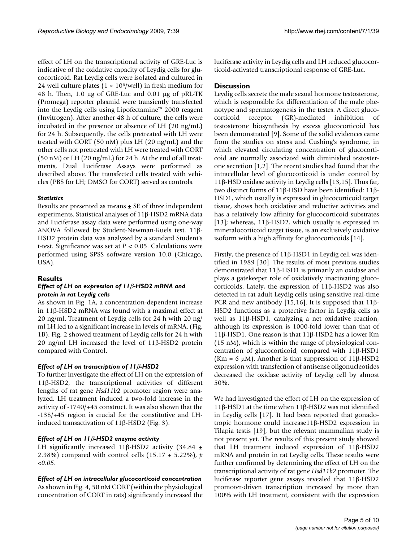effect of LH on the transcriptional activity of GRE-Luc is indicative of the oxidative capacity of Leydig cells for glucocorticoid. Rat Leydig cells were isolated and cultured in 24 well culture plates ( $1 \times 10^6$ /well) in fresh medium for 48 h. Then, 1.0 μg of GRE-Luc and 0.01 μg of pRL-TK (Promega) reporter plasmid were transiently transfected into the Leydig cells using Lipofectamine™ 2000 reagent (Invitrogen). After another 48 h of culture, the cells were incubated in the presence or absence of LH (20 ng/mL) for 24 h. Subsequently, the cells pretreated with LH were treated with CORT (50 nM) plus LH (20 ng/mL) and the other cells not pretreated with LH were treated with CORT (50 nM) or LH (20 ng/mL) for 24 h. At the end of all treatments, Dual Luciferase Assays were performed as described above. The transfected cells treated with vehicles (PBS for LH; DMSO for CORT) served as controls.

#### *Statistics*

Results are presented as means  $\pm$  SE of three independent experiments. Statistical analyses of 11β-HSD2 mRNA data and Luciferase assay data were performed using one-way ANOVA followed by Student-Newman-Kuels test. 11β-HSD2 protein data was analyzed by a standard Student's t-test. Significance was set at *P* < 0.05. Calculations were performed using SPSS software version 10.0 (Chicago, USA).

## **Results**

#### *Effect of LH on expression of 11*β*-HSD2 mRNA and protein in rat Leydig cells*

As shown in Fig. 1A, a concentration-dependent increase in 11β-HSD2 mRNA was found with a maximal effect at 20 ng/ml. Treatment of Leydig cells for 24 h with 20 ng/ ml LH led to a significant increase in levels of mRNA. (Fig. 1B). Fig. 2 showed treatment of Leydig cells for 24 h with 20 ng/ml LH increased the level of 11β-HSD2 protein compared with Control.

## *Effect of LH on transcription of 11*β*-HSD2*

To further investigate the effect of LH on the expression of 11β-HSD2, the transcriptional activities of different lengths of rat gene *Hsd11b2* promoter region were analyzed. LH treatment induced a two-fold increase in the activity of -1740/+45 construct. It was also shown that the -138/+45 region is crucial for the constitutive and LHinduced transactivation of 11β-HSD2 (Fig. 3).

## *Effect of LH on 11*β*-HSD2 enzyme activity*

LH significantly increased 11β-HSD2 activity (34.84  $\pm$ 2.98%) compared with control cells (15.17 ± 5.22%), *p* <*0.05*.

## *Effect of LH on intracellular glucocorticoid concentration*

As shown in Fig. 4, 50 nM CORT (within the physiological concentration of CORT in rats) significantly increased the luciferase activity in Leydig cells and LH reduced glucocorticoid-activated transcriptional response of GRE-Luc.

### **Discussion**

Leydig cells secrete the male sexual hormone testosterone, which is responsible for differentiation of the male phenotype and spermatogenesis in the testes. A direct glucocorticoid receptor (GR)-mediated inhibition of testosterone biosynthesis by excess glucocorticoid has been demonstrated [9]. Some of the solid evidences came from the studies on stress and Cushing's syndrome, in which elevated circulating concentration of glucocorticoid are normally associated with diminished testosterone secretion [1,2]. The recent studies had found that the intracellular level of glucocorticoid is under control by 11β-HSD oxidase activity in Leydig cells [13,15]. Thus far, two distinct forms of 11β-HSD have been identified: 11β-HSD1, which usually is expressed in glucocorticoid target tissue, shows both oxidative and reductive activities and has a relatively low affinity for glucocorticoid substrates [13]; whereas, 11β-HSD2, which usually is expressed in mineralocorticoid target tissue, is an exclusively oxidative isoform with a high affinity for glucocorticoids [14].

Firstly, the presence of 11β-HSD1 in Leydig cell was identified in 1989 [30]. The results of most previous studies demonstrated that 11β-HSD1 is primarily an oxidase and plays a gatekeeper role of oxidatively inactivating glucocorticoids. Lately, the expression of 11β-HSD2 was also detected in rat adult Leydig cells using sensitive real-time PCR and new antibody [15,16]. It is supposed that  $11\beta$ -HSD2 functions as a protective factor in Leydig cells as well as 11β-HSD1, catalyzing a net oxidative reaction, although its expression is 1000-fold lower than that of 11β-HSD1. One reason is that 11β-HSD2 has a lower Km (15 nM), which is within the range of physiological concentration of glucocorticoid, compared with 11β-HSD1 (Km = 6  $\mu$ M). Another is that suppression of 11 $\beta$ -HSD2 expression with transfection of antisense oligonucleotides decreased the oxidase activity of Leydig cell by almost 50%.

We had investigated the effect of LH on the expression of 11β-HSD1 at the time when 11β-HSD2 was not identified in Leydig cells [17]. It had been reported that gonadotropic hormone could increase11β-HSD2 expression in Tilapia testis [19], but the relevant mammalian study is not present yet. The results of this present study showed that LH treatment induced expression of 11β-HSD2 mRNA and protein in rat Leydig cells. These results were further confirmed by determining the effect of LH on the transcriptional activity of rat gene *Hsd11b2* promoter. The luciferase reporter gene assays revealed that 11β-HSD2 promoter-driven transcription increased by more than 100% with LH treatment, consistent with the expression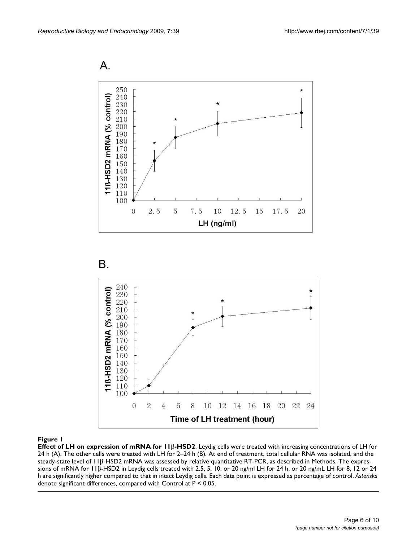Α.





#### **Figure 1**

**Effect of LH on expression of mRNA for 11**β**-HSD2**. Leydig cells were treated with increasing concentrations of LH for 24 h (A). The other cells were treated with LH for 2–24 h (B). At end of treatment, total cellular RNA was isolated, and the steady-state level of 11β-HSD2 mRNA was assessed by relative quantitative RT-PCR, as described in Methods. The expressions of mRNA for 11β-HSD2 in Leydig cells treated with 2.5, 5, 10, or 20 ng/ml LH for 24 h, or 20 ng/mL LH for 8, 12 or 24 h are significantly higher compared to that in intact Leydig cells. Each data point is expressed as percentage of control. *Asterisks*  denote significant differences, compared with Control at P < 0.05.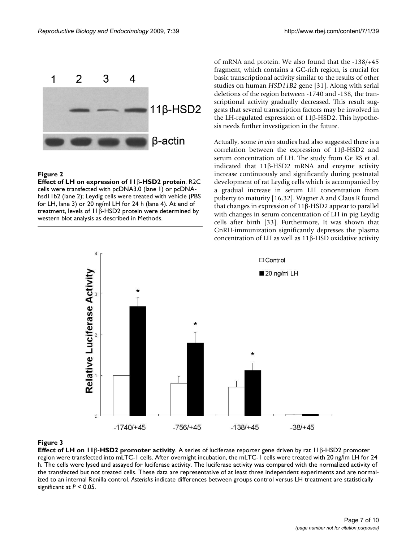

#### **Figure 2**

**Effect of LH on expression of 11**β**-HSD2 protein**. R2C cells were transfected with pcDNA3.0 (lane 1) or pcDNAhsd11b2 (lane 2); Leydig cells were treated with vehicle (PBS for LH, lane 3) or 20 ng/ml LH for 24 h (lane 4). At end of treatment, levels of 11β-HSD2 protein were determined by western blot analysis as described in Methods.

of mRNA and protein. We also found that the -138/+45 fragment, which contains a GC-rich region, is crucial for basic transcriptional activity similar to the results of other studies on human *HSD11B2* gene [31]. Along with serial deletions of the region between -1740 and -138, the transcriptional activity gradually decreased. This result suggests that several transcription factors may be involved in the LH-regulated expression of 11β-HSD2. This hypothesis needs further investigation in the future.

Actually, some *in vivo* studies had also suggested there is a correlation between the expression of 11β-HSD2 and serum concentration of LH. The study from Ge RS et al. indicated that 11β-HSD2 mRNA and enzyme activity increase continuously and significantly during postnatal development of rat Leydig cells which is accompanied by a gradual increase in serum LH concentration from puberty to maturity [16,32]. Wagner A and Claus R found that changes in expression of 11β-HSD2 appear to parallel with changes in serum concentration of LH in pig Leydig cells after birth [33]. Furthermore, It was shown that GnRH-immunization significantly depresses the plasma concentration of LH as well as 11β-HSD oxidative activity



#### **Figure 3**

**Effect of LH on 11**β**-HSD2 promoter activity**. A series of luciferase reporter gene driven by rat 11β-HSD2 promoter region were transfected into mLTC-1 cells. After overnight incubation, the mLTC-1 cells were treated with 20 ng/lm LH for 24 h. The cells were lysed and assayed for luciferase activity. The luciferase activity was compared with the normalized activity of the transfected but not treated cells. These data are representative of at least three independent experiments and are normalized to an internal Renilla control. *Asterisks* indicate differences between groups control versus LH treatment are statistically significant at *P* < 0.05.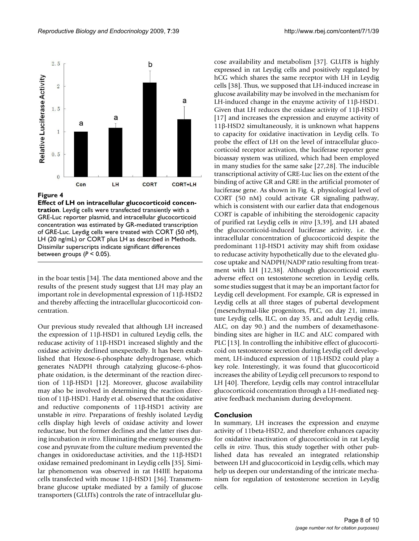

## **Figure 4**

**Effect of LH on intracellular glucocorticoid concentration**. Leydig cells were transfected transiently with a GRE-Luc reporter plasmid, and intracellular glucocorticoid concentration was estimated by GR-mediated transcription of GRE-Luc. Leydig cells were treated with CORT (50 nM), LH (20 ng/mL) or CORT plus LH as described in Methods. Dissimilar superscripts indicate significant differences between groups (*P* < 0.05).

in the boar testis [34]. The data mentioned above and the results of the present study suggest that LH may play an important role in developmental expression of 11β-HSD2 and thereby affecting the intracellular glucocorticoid concentration.

Our previous study revealed that although LH increased the expression of 11β-HSD1 in cultured Leydig cells, the reducase activity of 11β-HSD1 increased slightly and the oxidase activity declined unexpectedly. It has been established that Hexose-6-phosphate dehydrogenase, which generates NADPH through catalyzing glucose-6-phosphate oxidation, is the determinant of the reaction direction of 11β-HSD1 [12]. Moreover, glucose availability may also be involved in determining the reaction direction of 11β-HSD1. Hardy et al. observed that the oxidative and reductive components of 11β-HSD1 activity are unstable *in vitro*. Preparations of freshly isolated Leydig cells display high levels of oxidase activity and lower reductase, but the former declines and the latter rises during incubation *in vitro*. Eliminating the energy sources glucose and pyruvate from the culture medium prevented the changes in oxidoreductase activities, and the 11β-HSD1 oxidase remained predominant in Leydig cells [35]. Similar phenomenon was observed in rat H4IIE hepatoma cells transfected with mouse 11β-HSD1 [36]. Transmembrane glucose uptake mediated by a family of glucose transporters (GLUTs) controls the rate of intracellular glucose availability and metabolism [37]. GLUT8 is highly expressed in rat Leydig cells and positively regulated by hCG which shares the same receptor with LH in Leydig cells [38]. Thus, we supposed that LH-induced increase in glucose availability may be involved in the mechanism for LH-induced change in the enzyme activity of 11β-HSD1. Given that LH reduces the oxidase activity of 11β-HSD1 [17] and increases the expression and enzyme activity of 11β-HSD2 simultaneously, it is unknown what happens to capacity for oxidative inactivation in Leydig cells. To probe the effect of LH on the level of intracellular glucocorticoid receptor activation, the luciferase reporter gene bioassay system was utilized, which had been employed in many studies for the same sake [27,28]. The inducible transcriptional activity of GRE-Luc lies on the extent of the binding of active GR and GRE in the artificial promoter of luciferase gene. As shown in Fig. 4, physiological level of CORT (50 nM) could activate GR signaling pathway, which is consistent with our earlier data that endogenous CORT is capable of inhibiting the steroidogenic capacity of purified rat Leydig cells *in vitro* [3,39], and LH abated the glucocorticoid-induced luciferase activity, i.e. the intracellular concentration of glucocorticoid despite the predominant 11β-HSD1 activity may shift from oxidase to reducase activity hypothetically due to the elevated glucose uptake and NADPH/NADP ratio resulting from treatment with LH [12,38]. Although glucocorticoid exerts adverse effect on testosterone secretion in Leydig cells, some studies suggest that it may be an important factor for Leydig cell development. For example, GR is expressed in Leydig cells at all three stages of pubertal development (mesenchymal-like progenitors, PLC, on day 21, immature Leydig cells, ILC, on day 35, and adult Leydig cells, ALC, on day 90.) and the numbers of dexamethasonebinding sites are higher in ILC and ALC compared with PLC [13]. In controlling the inhibitive effect of glucocorticoid on testosterone secretion during Leydig cell development, LH-induced expression of 11β-HSD2 could play a key role. Interestingly, it was found that glucocorticoid increases the ability of Leydig cell precursors to respond to LH [40]. Therefore, Leydig cells may control intracellular glucocorticoid concentration through a LH-mediated negative feedback mechanism during development.

## **Conclusion**

In summary, LH increases the expression and enzyme activity of 11beta-HSD2, and therefore enhances capacity for oxidative inactivation of glucocorticoid in rat Leydig cells *in vitro*. Thus, this study together with other published data has revealed an integrated relationship between LH and glucocorticoid in Leydig cells, which may help us deepen our understanding of the intricate mechanism for regulation of testosterone secretion in Leydig cells.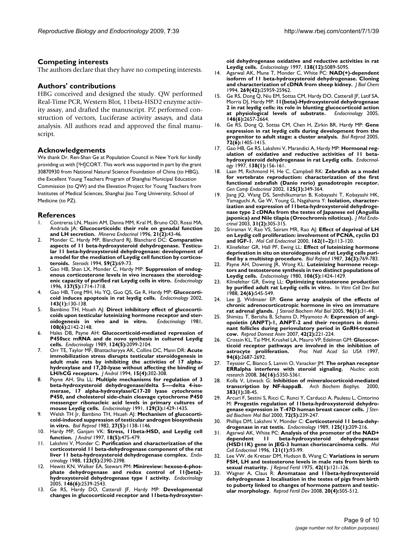#### **Competing interests**

The authors declare that they have no competing interests.

#### **Authors' contributions**

HBG conceived and designed the study. QW performed Real-Time PCR, Western Blot, 11beta-HSD2 enzyme activity assay, and drafted the manuscript. PZ performed construction of vectors, Luciferase activity assays, and data analysis. All authors read and approved the final manuscript.

#### **Acknowledgements**

We thank Dr. Ren-Shan Ge at Population Council in New York for kindly providing us with [3H]CORT. This work was supported in part by the grant 30870930 from National Natural Science Foundation of China (to HBG), the Excellent Young Teachers Program of Shanghai Municipal Education Commission (to QW) and the Elevation Project for Young Teachers from Institutes of Medical Sciences, Shanghai Jiao Tong University, School of Medicine (to PZ).

#### **References**

- 1. Contreras LN, Masini AM, Danna MM, Kral M, Bruno OD, Rossi MA, Andrada JA: **[Glucocorticoids: their role on gonadal function](http://www.ncbi.nlm.nih.gov/entrez/query.fcgi?cmd=Retrieve&db=PubMed&dopt=Abstract&list_uids=8968148) [and LH secretion.](http://www.ncbi.nlm.nih.gov/entrez/query.fcgi?cmd=Retrieve&db=PubMed&dopt=Abstract&list_uids=8968148)** *Minerva Endocrinol* 1996, **21(2):**43-46.
- 2. Monder C, Hardy MP, Blanchard RJ, Blanchard DC: **[Comparative](http://www.ncbi.nlm.nih.gov/entrez/query.fcgi?cmd=Retrieve&db=PubMed&dopt=Abstract&list_uids=8191550) aspects of 11 beta-hydroxysteroid dehydrogenase. Testicu[lar 11 beta-hydroxysteroid dehydrogenase: development of](http://www.ncbi.nlm.nih.gov/entrez/query.fcgi?cmd=Retrieve&db=PubMed&dopt=Abstract&list_uids=8191550) a model for the mediation of Leydig cell function by corticos[teroids.](http://www.ncbi.nlm.nih.gov/entrez/query.fcgi?cmd=Retrieve&db=PubMed&dopt=Abstract&list_uids=8191550)** *Steroids* 1994, **59(2):**69-73.
- 3. Gao HB, Shan LX, Monder C, Hardy MP: **[Suppression of endog](http://www.ncbi.nlm.nih.gov/entrez/query.fcgi?cmd=Retrieve&db=PubMed&dopt=Abstract&list_uids=8612506)[enous corticosterone levels in vivo increases the steroidog](http://www.ncbi.nlm.nih.gov/entrez/query.fcgi?cmd=Retrieve&db=PubMed&dopt=Abstract&list_uids=8612506)[enic capacity of purified rat Leydig cells in vitro.](http://www.ncbi.nlm.nih.gov/entrez/query.fcgi?cmd=Retrieve&db=PubMed&dopt=Abstract&list_uids=8612506)** *Endocrinology* 1996, **137(5):**1714-1718.
- 4. Gao HB, Tong MH, Hu YQ, Guo QS, Ge R, Hardy MP: **[Glucocorti](http://www.ncbi.nlm.nih.gov/entrez/query.fcgi?cmd=Retrieve&db=PubMed&dopt=Abstract&list_uids=11751601)[coid induces apoptosis in rat leydig cells.](http://www.ncbi.nlm.nih.gov/entrez/query.fcgi?cmd=Retrieve&db=PubMed&dopt=Abstract&list_uids=11751601)** *Endocrinology* 2002, **143(1):**130-138.
- 5. Bambino TH, Hsueh AJ: **[Direct inhibitory effect of glucocorti](http://www.ncbi.nlm.nih.gov/entrez/query.fcgi?cmd=Retrieve&db=PubMed&dopt=Abstract&list_uids=6262050)[coids upon testicular luteinizing hormone receptor and ster](http://www.ncbi.nlm.nih.gov/entrez/query.fcgi?cmd=Retrieve&db=PubMed&dopt=Abstract&list_uids=6262050)[oidogenesis in vivo and in vitro.](http://www.ncbi.nlm.nih.gov/entrez/query.fcgi?cmd=Retrieve&db=PubMed&dopt=Abstract&list_uids=6262050)** *Endocrinology* 1981, **108(6):**2142-2148.
- 6. Hales DB, Payne AH: **[Glucocorticoid-mediated repression of](http://www.ncbi.nlm.nih.gov/entrez/query.fcgi?cmd=Retrieve&db=PubMed&dopt=Abstract&list_uids=2539967) [P450scc mRNA and de novo synthesis in cultured Leydig](http://www.ncbi.nlm.nih.gov/entrez/query.fcgi?cmd=Retrieve&db=PubMed&dopt=Abstract&list_uids=2539967) [cells.](http://www.ncbi.nlm.nih.gov/entrez/query.fcgi?cmd=Retrieve&db=PubMed&dopt=Abstract&list_uids=2539967)** *Endocrinology* 1989, **124(5):**2099-2104.
- 7. Orr TE, Taylor MF, Bhattacharyya AK, Collins DC, Mann DR: **[Acute](http://www.ncbi.nlm.nih.gov/entrez/query.fcgi?cmd=Retrieve&db=PubMed&dopt=Abstract&list_uids=7982797) [immobilization stress disrupts testicular steroidogenesis in](http://www.ncbi.nlm.nih.gov/entrez/query.fcgi?cmd=Retrieve&db=PubMed&dopt=Abstract&list_uids=7982797) adult male rats by inhibiting the activities of 17 alphahydroxylase and 17,20-lyase without affecting the binding of [LH/hCG receptors.](http://www.ncbi.nlm.nih.gov/entrez/query.fcgi?cmd=Retrieve&db=PubMed&dopt=Abstract&list_uids=7982797)** *J Androl* 1994, **15(4):**302-308.
- 8. Payne AH, Sha LL: **[Multiple mechanisms for regulation of 3](http://www.ncbi.nlm.nih.gov/entrez/query.fcgi?cmd=Retrieve&db=PubMed&dopt=Abstract&list_uids=1874181) beta-hydroxysteroid dehydrogenase/delta 5----delta 4-iso[merase, 17 alpha-hydroxylase/C17-20 lyase cytochrome](http://www.ncbi.nlm.nih.gov/entrez/query.fcgi?cmd=Retrieve&db=PubMed&dopt=Abstract&list_uids=1874181) P450, and cholesterol side-chain cleavage cytochrome P450 messenger ribonucleic acid levels in primary cultures of [mouse Leydig cells.](http://www.ncbi.nlm.nih.gov/entrez/query.fcgi?cmd=Retrieve&db=PubMed&dopt=Abstract&list_uids=1874181)** *Endocrinology* 1991, **129(3):**1429-1435.
- Welsh TH Jr, Bambino TH, Hsueh AJ: [Mechanism of glucocorti](http://www.ncbi.nlm.nih.gov/entrez/query.fcgi?cmd=Retrieve&db=PubMed&dopt=Abstract&list_uids=6297629)**[coid-induced suppression of testicular androgen biosynthesis](http://www.ncbi.nlm.nih.gov/entrez/query.fcgi?cmd=Retrieve&db=PubMed&dopt=Abstract&list_uids=6297629) [in vitro.](http://www.ncbi.nlm.nih.gov/entrez/query.fcgi?cmd=Retrieve&db=PubMed&dopt=Abstract&list_uids=6297629)** *Biol Reprod* 1982, **27(5):**1138-1146.
- 10. Hardy MP, Ganjam VK: **[Stress, 11beta-HSD, and Leydig cell](http://www.ncbi.nlm.nih.gov/entrez/query.fcgi?cmd=Retrieve&db=PubMed&dopt=Abstract&list_uids=9349744) [function.](http://www.ncbi.nlm.nih.gov/entrez/query.fcgi?cmd=Retrieve&db=PubMed&dopt=Abstract&list_uids=9349744)** *J Androl* 1997, **18(5):**475-479.
- 11. Lakshmi V, Monder C: **[Purification and characterization of the](http://www.ncbi.nlm.nih.gov/entrez/query.fcgi?cmd=Retrieve&db=PubMed&dopt=Abstract&list_uids=3139396) [corticosteroid 11 beta-dehydrogenase component of the rat](http://www.ncbi.nlm.nih.gov/entrez/query.fcgi?cmd=Retrieve&db=PubMed&dopt=Abstract&list_uids=3139396) [liver 11 beta-hydroxysteroid dehydrogenase complex.](http://www.ncbi.nlm.nih.gov/entrez/query.fcgi?cmd=Retrieve&db=PubMed&dopt=Abstract&list_uids=3139396)** *Endocrinology* 1988, **123(5):**2390-2398.
- 12. Hewitt KN, Walker EA, Stewart PM: **[Minireview: hexose-6-phos](http://www.ncbi.nlm.nih.gov/entrez/query.fcgi?cmd=Retrieve&db=PubMed&dopt=Abstract&list_uids=15774558)[phate dehydrogenase and redox control of 11{beta}](http://www.ncbi.nlm.nih.gov/entrez/query.fcgi?cmd=Retrieve&db=PubMed&dopt=Abstract&list_uids=15774558) [hydroxysteroid dehydrogenase type 1 activity.](http://www.ncbi.nlm.nih.gov/entrez/query.fcgi?cmd=Retrieve&db=PubMed&dopt=Abstract&list_uids=15774558)** *Endocrinology* 2005, **146(6):**2539-2543.
- 13. Ge RS, Hardy DO, Catterall JF, Hardy MP: **[Developmental](http://www.ncbi.nlm.nih.gov/entrez/query.fcgi?cmd=Retrieve&db=PubMed&dopt=Abstract&list_uids=9389487) [changes in glucocorticoid receptor and 11beta-hydroxyster-](http://www.ncbi.nlm.nih.gov/entrez/query.fcgi?cmd=Retrieve&db=PubMed&dopt=Abstract&list_uids=9389487)**

**[oid dehydrogenase oxidative and reductive activities in rat](http://www.ncbi.nlm.nih.gov/entrez/query.fcgi?cmd=Retrieve&db=PubMed&dopt=Abstract&list_uids=9389487) [Leydig cells.](http://www.ncbi.nlm.nih.gov/entrez/query.fcgi?cmd=Retrieve&db=PubMed&dopt=Abstract&list_uids=9389487)** *Endocrinology* 1997, **138(12):**5089-5095.

- 14. Agarwal AK, Mune T, Monder C, White PC: **[NAD\(+\)-dependent](http://www.ncbi.nlm.nih.gov/entrez/query.fcgi?cmd=Retrieve&db=PubMed&dopt=Abstract&list_uids=7929304) [isoform of 11 beta-hydroxysteroid dehydrogenase. Cloning](http://www.ncbi.nlm.nih.gov/entrez/query.fcgi?cmd=Retrieve&db=PubMed&dopt=Abstract&list_uids=7929304) [and characterization of cDNA from sheep kidney.](http://www.ncbi.nlm.nih.gov/entrez/query.fcgi?cmd=Retrieve&db=PubMed&dopt=Abstract&list_uids=7929304)** *J Biol Chem* 1994, **269(42):**25959-25962.
- 15. Ge RS, Dong Q, Niu EM, Sottas CM, Hardy DO, Catterall JF, Latif SA, Morris DJ, Hardy MP: **[11{beta}-Hydroxysteroid dehydrogenase](http://www.ncbi.nlm.nih.gov/entrez/query.fcgi?cmd=Retrieve&db=PubMed&dopt=Abstract&list_uids=15761036) [2 in rat leydig cells: its role in blunting glucocorticoid action](http://www.ncbi.nlm.nih.gov/entrez/query.fcgi?cmd=Retrieve&db=PubMed&dopt=Abstract&list_uids=15761036) [at physiological levels of substrate.](http://www.ncbi.nlm.nih.gov/entrez/query.fcgi?cmd=Retrieve&db=PubMed&dopt=Abstract&list_uids=15761036)** *Endocrinology* 2005, **146(6):**2657-2664.
- 16. Ge RS, Dong Q, Sottas CM, Chen H, Zirkin BR, Hardy MP: **[Gene](http://www.ncbi.nlm.nih.gov/entrez/query.fcgi?cmd=Retrieve&db=PubMed&dopt=Abstract&list_uids=15716394) [expression in rat leydig cells during development from the](http://www.ncbi.nlm.nih.gov/entrez/query.fcgi?cmd=Retrieve&db=PubMed&dopt=Abstract&list_uids=15716394) [progenitor to adult stage: a cluster analysis.](http://www.ncbi.nlm.nih.gov/entrez/query.fcgi?cmd=Retrieve&db=PubMed&dopt=Abstract&list_uids=15716394)** *Biol Reprod* 2005, **72(6):**1405-1415.
- 17. Gao HB, Ge RS, Lakshmi V, Marandici A, Hardy MP: **[Hormonal reg](http://www.ncbi.nlm.nih.gov/entrez/query.fcgi?cmd=Retrieve&db=PubMed&dopt=Abstract&list_uids=8977399)[ulation of oxidative and reductive activities of 11 beta](http://www.ncbi.nlm.nih.gov/entrez/query.fcgi?cmd=Retrieve&db=PubMed&dopt=Abstract&list_uids=8977399)[hydroxysteroid dehydrogenase in rat Leydig cells.](http://www.ncbi.nlm.nih.gov/entrez/query.fcgi?cmd=Retrieve&db=PubMed&dopt=Abstract&list_uids=8977399)** *Endocrinology* 1997, **138(1):**156-161.
- 18. Laan M, Richmond H, He C, Campbell RK: **[Zebrafish as a model](http://www.ncbi.nlm.nih.gov/entrez/query.fcgi?cmd=Retrieve&db=PubMed&dopt=Abstract&list_uids=11884080) [for vertebrate reproduction: characterization of the first](http://www.ncbi.nlm.nih.gov/entrez/query.fcgi?cmd=Retrieve&db=PubMed&dopt=Abstract&list_uids=11884080) functional zebrafish (Danio rerio) gonadotropin receptor.** *Gen Comp Endocrinol* 2002, **125(3):**349-364.
- 19. Jiang JQ, Wang DS, Senthilkumaran B, Kobayashi T, Kobayashi HK, Yamaguchi A, Ge W, Young G, Nagahama Y: **[Isolation, character](http://www.ncbi.nlm.nih.gov/entrez/query.fcgi?cmd=Retrieve&db=PubMed&dopt=Abstract&list_uids=14519098)[ization and expression of 11beta-hydroxysteroid dehydroge](http://www.ncbi.nlm.nih.gov/entrez/query.fcgi?cmd=Retrieve&db=PubMed&dopt=Abstract&list_uids=14519098)nase type 2 cDNAs from the testes of Japanese eel (Anguilla [japonica\) and Nile tilapia \(Oreochromis niloticus\).](http://www.ncbi.nlm.nih.gov/entrez/query.fcgi?cmd=Retrieve&db=PubMed&dopt=Abstract&list_uids=14519098)** *J Mol Endocrinol* 2003, **31(2):**305-315.
- 20. Sriraman V, Rao VS, Sairam MR, Rao AJ: **[Effect of deprival of LH](http://www.ncbi.nlm.nih.gov/entrez/query.fcgi?cmd=Retrieve&db=PubMed&dopt=Abstract&list_uids=10854704) [on Leydig cell proliferation: involvement of PCNA, cyclin D3](http://www.ncbi.nlm.nih.gov/entrez/query.fcgi?cmd=Retrieve&db=PubMed&dopt=Abstract&list_uids=10854704) [and IGF-1.](http://www.ncbi.nlm.nih.gov/entrez/query.fcgi?cmd=Retrieve&db=PubMed&dopt=Abstract&list_uids=10854704)** *Mol Cell Endocrinol* 2000, **162(1–2):**113-120.
- 21. Klinefelter GR, Hall PF, Ewing LL: **[Effect of luteinizing hormone](http://www.ncbi.nlm.nih.gov/entrez/query.fcgi?cmd=Retrieve&db=PubMed&dopt=Abstract&list_uids=3496123) [deprivation in situ on steroidogenesis of rat Leydig cells puri](http://www.ncbi.nlm.nih.gov/entrez/query.fcgi?cmd=Retrieve&db=PubMed&dopt=Abstract&list_uids=3496123)[fied by a multistep procedure.](http://www.ncbi.nlm.nih.gov/entrez/query.fcgi?cmd=Retrieve&db=PubMed&dopt=Abstract&list_uids=3496123)** *Biol Reprod* 1987, **36(3):**769-783.
- 22. Payne AH, Downing JR, Wong KL: **[Luteinizing hormone recep](http://www.ncbi.nlm.nih.gov/entrez/query.fcgi?cmd=Retrieve&db=PubMed&dopt=Abstract&list_uids=6244930)[tors and testosterone synthesis in two distinct populations of](http://www.ncbi.nlm.nih.gov/entrez/query.fcgi?cmd=Retrieve&db=PubMed&dopt=Abstract&list_uids=6244930) [Leydig cells.](http://www.ncbi.nlm.nih.gov/entrez/query.fcgi?cmd=Retrieve&db=PubMed&dopt=Abstract&list_uids=6244930)** *Endocrinology* 1980, **106(5):**1424-1429.
- 23. Klinefelter GR, Ewing LL: **[Optimizing testosterone production](http://www.ncbi.nlm.nih.gov/entrez/query.fcgi?cmd=Retrieve&db=PubMed&dopt=Abstract&list_uids=2455704) [by purified adult rat Leydig cells in vitro.](http://www.ncbi.nlm.nih.gov/entrez/query.fcgi?cmd=Retrieve&db=PubMed&dopt=Abstract&list_uids=2455704)** In *Vitro Cell Dev Biol* 1988, **24(6):**545-549.
- 24. Lee JJ, Widmaier EP: **[Gene array analysis of the effects of](http://www.ncbi.nlm.nih.gov/entrez/query.fcgi?cmd=Retrieve&db=PubMed&dopt=Abstract&list_uids=15890514) [chronic adrenocorticotropic hormone in vivo on immature](http://www.ncbi.nlm.nih.gov/entrez/query.fcgi?cmd=Retrieve&db=PubMed&dopt=Abstract&list_uids=15890514) [rat adrenal glands.](http://www.ncbi.nlm.nih.gov/entrez/query.fcgi?cmd=Retrieve&db=PubMed&dopt=Abstract&list_uids=15890514)** *J Steroid Biochem Mol Biol* 2005, **96(1):**31-44.
- 25. Shimizu T, Berisha B, Schams D, Miyamoto A: **[Expression of angi](http://www.ncbi.nlm.nih.gov/entrez/query.fcgi?cmd=Retrieve&db=PubMed&dopt=Abstract&list_uids=17348983)[opoietin \(ANPT\)-1, ANPT-2 and their receptors in domi](http://www.ncbi.nlm.nih.gov/entrez/query.fcgi?cmd=Retrieve&db=PubMed&dopt=Abstract&list_uids=17348983)nant follicles during periovulatory period in GnRH-treated [cow.](http://www.ncbi.nlm.nih.gov/entrez/query.fcgi?cmd=Retrieve&db=PubMed&dopt=Abstract&list_uids=17348983)** *Reprod Domest Anim* 2007, **42(2):**221-224.
- 26. Crossin KL, Tai MH, Krushel LA, Mauro VP, Edelman GM: **[Glucocor](http://www.ncbi.nlm.nih.gov/entrez/query.fcgi?cmd=Retrieve&db=PubMed&dopt=Abstract&list_uids=9122257)[ticoid receptor pathways are involved in the inhibition of](http://www.ncbi.nlm.nih.gov/entrez/query.fcgi?cmd=Retrieve&db=PubMed&dopt=Abstract&list_uids=9122257) [astrocyte proliferation.](http://www.ncbi.nlm.nih.gov/entrez/query.fcgi?cmd=Retrieve&db=PubMed&dopt=Abstract&list_uids=9122257)** *Proc Natl Acad Sci USA* 1997, **94(6):**2687-2692.
- 27. Teyssier C, Bianco S, Lanvin O, Vanacker JM: **[The orphan receptor](http://www.ncbi.nlm.nih.gov/entrez/query.fcgi?cmd=Retrieve&db=PubMed&dopt=Abstract&list_uids=18697814) [ERRalpha interferes with steroid signaling.](http://www.ncbi.nlm.nih.gov/entrez/query.fcgi?cmd=Retrieve&db=PubMed&dopt=Abstract&list_uids=18697814)** *Nucleic acids research* 2008, **36(16):**5350-5361.
- 28. Kolla V, Litwack G: **[Inhibition of mineralocorticoid-mediated](http://www.ncbi.nlm.nih.gov/entrez/query.fcgi?cmd=Retrieve&db=PubMed&dopt=Abstract&list_uids=11097174) [transcription by NF-kappaB.](http://www.ncbi.nlm.nih.gov/entrez/query.fcgi?cmd=Retrieve&db=PubMed&dopt=Abstract&list_uids=11097174)** *Arch Biochem Biophys.* 2000, **383(1):**38-45.
- 29. Arcuri F, Sestini S, Ricci C, Runci Y, Carducci A, Paulesu L, Cintorino M: **[Progestin regulation of 11beta-hydroxysteroid dehydro](http://www.ncbi.nlm.nih.gov/entrez/query.fcgi?cmd=Retrieve&db=PubMed&dopt=Abstract&list_uids=10822013)[genase expression in T-47D human breast cancer cells.](http://www.ncbi.nlm.nih.gov/entrez/query.fcgi?cmd=Retrieve&db=PubMed&dopt=Abstract&list_uids=10822013)** *J Steroid Biochem Mol Biol* 2000, **72(5):**239-247.
- Phillips DM, Lakshmi V, Monder C: Corticosteroid II beta-dehy**[drogenase in rat testis.](http://www.ncbi.nlm.nih.gov/entrez/query.fcgi?cmd=Retrieve&db=PubMed&dopt=Abstract&list_uids=2661206)** *Endocrinology* 1989, **125(1):**209-216.
- 31. Agarwal AK, White PC: **[Analysis of the promoter of the NAD+](http://www.ncbi.nlm.nih.gov/entrez/query.fcgi?cmd=Retrieve&db=PubMed&dopt=Abstract&list_uids=8865170) [dependent 11 beta-hydroxysteroid dehydrogenase](http://www.ncbi.nlm.nih.gov/entrez/query.fcgi?cmd=Retrieve&db=PubMed&dopt=Abstract&list_uids=8865170) [\(HSD11K\) gene in JEG-3 human choriocarcinoma cells.](http://www.ncbi.nlm.nih.gov/entrez/query.fcgi?cmd=Retrieve&db=PubMed&dopt=Abstract&list_uids=8865170)** *Mol Cell Endocrinol* 1996, **121(1):**93-99.
- 32. Lee VW, de Kretser DM, Hudson B, Wang C: **[Variations in serum](http://www.ncbi.nlm.nih.gov/entrez/query.fcgi?cmd=Retrieve&db=PubMed&dopt=Abstract&list_uids=1110463) [FSH, LH and testosterone levels in male rats from birth to](http://www.ncbi.nlm.nih.gov/entrez/query.fcgi?cmd=Retrieve&db=PubMed&dopt=Abstract&list_uids=1110463) [sexual maturity.](http://www.ncbi.nlm.nih.gov/entrez/query.fcgi?cmd=Retrieve&db=PubMed&dopt=Abstract&list_uids=1110463)** *J Reprod Fertil* 1975, **42(1):**121-126.
- 33. Wagner A, Claus R: **[Aromatase and 11beta-hydroxysteroid](http://www.ncbi.nlm.nih.gov/entrez/query.fcgi?cmd=Retrieve&db=PubMed&dopt=Abstract&list_uids=18462613) [dehydrogenase 2 localisation in the testes of pigs from birth](http://www.ncbi.nlm.nih.gov/entrez/query.fcgi?cmd=Retrieve&db=PubMed&dopt=Abstract&list_uids=18462613) to puberty linked to changes of hormone pattern and testic[ular morphology.](http://www.ncbi.nlm.nih.gov/entrez/query.fcgi?cmd=Retrieve&db=PubMed&dopt=Abstract&list_uids=18462613)** *Reprod Fertil Dev* 2008, **20(4):**505-512.